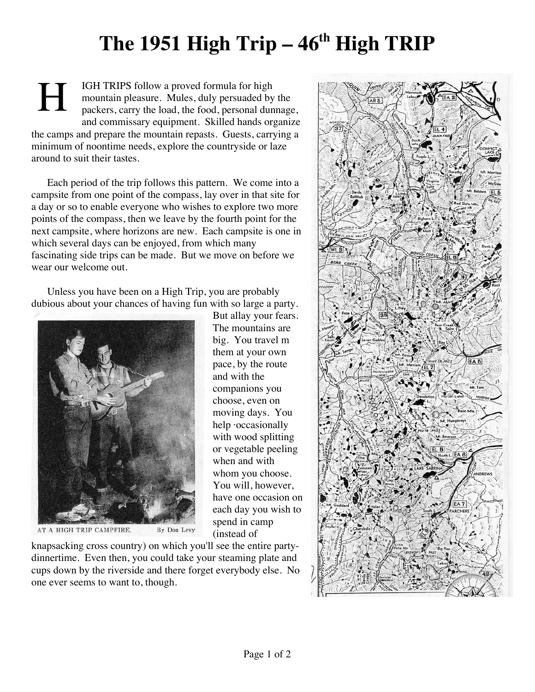# The 1951 High  $Trip - 46<sup>th</sup>$  High  $TRIP$

H IGH TRIPS follow a proved formula for high mountain pleasure. Mules, duly persuaded by the packers, carry the load, the food, personal dunnage, and commissary equipment. Skilled hands organize the camps and prepare the mountain repasts. Guests, carrying a minimum of noontime needs, explore the countryside or laze around to suit their tastes.

Each period of the trip follows this pattern. We come into a campsite from one point of the compass, lay over in that site for a day or so to enable everyone who wishes to explore two more points of the compass, then we leave by the fourth point for the next campsite, where horizons are new. Each campsite is one in which several days can be enjoyed, from which many fascinating side trips can be made. But we move on before we wear our welcome out.

Unless you have been on a High Trip, you are probably dubious about your chances of having fun with so large a party.



AT A HIGH TRIP CAMPFIRE. By Don Levy

knapsacking cross country) on which you'll see the entire partydinnertime. Even then, you could take your steaming plate and cups down by the riverside and there forget everybody else. No one ever seems to want to, though.

But allay your fears. The mountains are big. You travel m them at your own pace, by the route and with the companions you choose, even on moving days. You help ·occasionally with wood splitting or vegetable peeling when and with whom you choose. You will, however, have one occasion on each day you wish to spend in camp (instead of

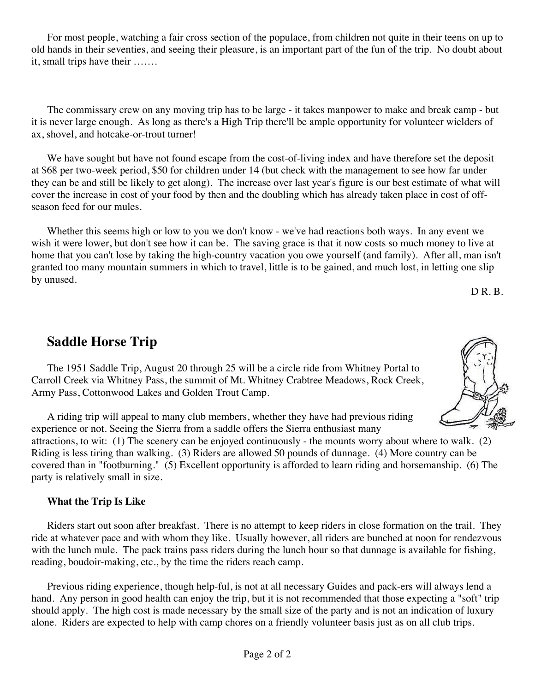For most people, watching a fair cross section of the populace, from children not quite in their teens on up to old hands in their seventies, and seeing their pleasure, is an important part of the fun of the trip. No doubt about it, small trips have their …….

The commissary crew on any moving trip has to be large - it takes manpower to make and break camp - but it is never large enough. As long as there's a High Trip there'll be ample opportunity for volunteer wielders of ax, shovel, and hotcake-or-trout turner!

We have sought but have not found escape from the cost-of-living index and have therefore set the deposit at \$68 per two-week period, \$50 for children under 14 (but check with the management to see how far under they can be and still be likely to get along). The increase over last year's figure is our best estimate of what will cover the increase in cost of your food by then and the doubling which has already taken place in cost of offseason feed for our mules.

Whether this seems high or low to you we don't know - we've had reactions both ways. In any event we wish it were lower, but don't see how it can be. The saving grace is that it now costs so much money to live at home that you can't lose by taking the high-country vacation you owe yourself (and family). After all, man isn't granted too many mountain summers in which to travel, little is to be gained, and much lost, in letting one slip by unused.

 $D R.B.$ 

# **Saddle Horse Trip**

The 1951 Saddle Trip, August 20 through 25 will be a circle ride from Whitney Portal to Carroll Creek via Whitney Pass, the summit of Mt. Whitney Crabtree Meadows, Rock Creek, Army Pass, Cottonwood Lakes and Golden Trout Camp.

A riding trip will appeal to many club members, whether they have had previous riding experience or not. Seeing the Sierra from a saddle offers the Sierra enthusiast many attractions, to wit: (1) The scenery can be enjoyed continuously - the mounts worry about where to walk. (2) Riding is less tiring than walking. (3) Riders are allowed 50 pounds of dunnage. (4) More country can be covered than in "footburning." (5) Excellent opportunity is afforded to learn riding and horsemanship. (6) The party is relatively small in size.

## **What the Trip Is Like**

Riders start out soon after breakfast. There is no attempt to keep riders in close formation on the trail. They ride at whatever pace and with whom they like. Usually however, all riders are bunched at noon for rendezvous with the lunch mule. The pack trains pass riders during the lunch hour so that dunnage is available for fishing, reading, boudoir-making, etc., by the time the riders reach camp.

Previous riding experience, though help-ful, is not at all necessary Guides and pack-ers will always lend a hand. Any person in good health can enjoy the trip, but it is not recommended that those expecting a "soft" trip should apply. The high cost is made necessary by the small size of the party and is not an indication of luxury alone. Riders are expected to help with camp chores on a friendly volunteer basis just as on all club trips.

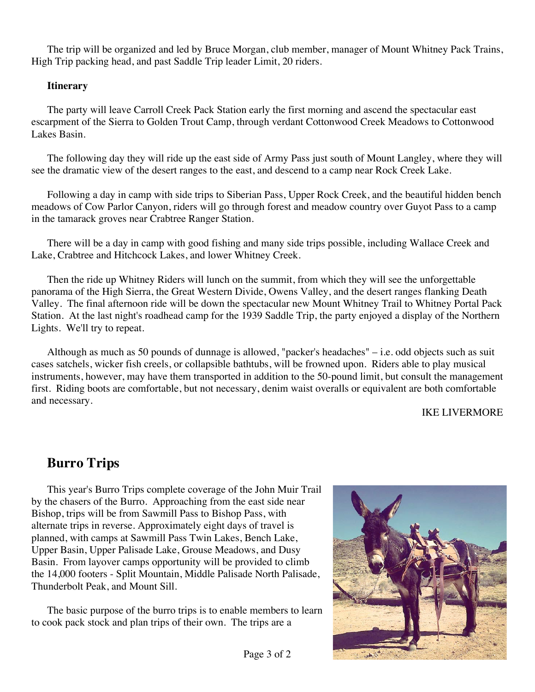The trip will be organized and led by Bruce Morgan, club member, manager of Mount Whitney Pack Trains, High Trip packing head, and past Saddle Trip leader Limit, 20 riders.

## **Itinerary**

The party will leave Carroll Creek Pack Station early the first morning and ascend the spectacular east escarpment of the Sierra to Golden Trout Camp, through verdant Cottonwood Creek Meadows to Cottonwood Lakes Basin.

The following day they will ride up the east side of Army Pass just south of Mount Langley, where they will see the dramatic view of the desert ranges to the east, and descend to a camp near Rock Creek Lake.

Following a day in camp with side trips to Siberian Pass, Upper Rock Creek, and the beautiful hidden bench meadows of Cow Parlor Canyon, riders will go through forest and meadow country over Guyot Pass to a camp in the tamarack groves near Crabtree Ranger Station.

There will be a day in camp with good fishing and many side trips possible, including Wallace Creek and Lake, Crabtree and Hitchcock Lakes, and lower Whitney Creek.

Then the ride up Whitney Riders will lunch on the summit, from which they will see the unforgettable panorama of the High Sierra, the Great Western Divide, Owens Valley, and the desert ranges flanking Death Valley. The final afternoon ride will be down the spectacular new Mount Whitney Trail to Whitney Portal Pack Station. At the last night's roadhead camp for the 1939 Saddle Trip, the party enjoyed a display of the Northern Lights. We'll try to repeat.

Although as much as 50 pounds of dunnage is allowed, "packer's headaches" – i.e. odd objects such as suit cases satchels, wicker fish creels, or collapsible bathtubs, will be frowned upon. Riders able to play musical instruments, however, may have them transported in addition to the 50-pound limit, but consult the management first. Riding boots are comfortable, but not necessary, denim waist overalls or equivalent are both comfortable and necessary.

## IKE LIVERMORE

# **Burro Trips**

This year's Burro Trips complete coverage of the John Muir Trail by the chasers of the Burro. Approaching from the east side near Bishop, trips will be from Sawmill Pass to Bishop Pass, with alternate trips in reverse. Approximately eight days of travel is planned, with camps at Sawmill Pass Twin Lakes, Bench Lake, Upper Basin, Upper Palisade Lake, Grouse Meadows, and Dusy Basin. From layover camps opportunity will be provided to climb the 14,000 footers - Split Mountain, Middle Palisade North Palisade, Thunderbolt Peak, and Mount Sill.

The basic purpose of the burro trips is to enable members to learn to cook pack stock and plan trips of their own. The trips are a